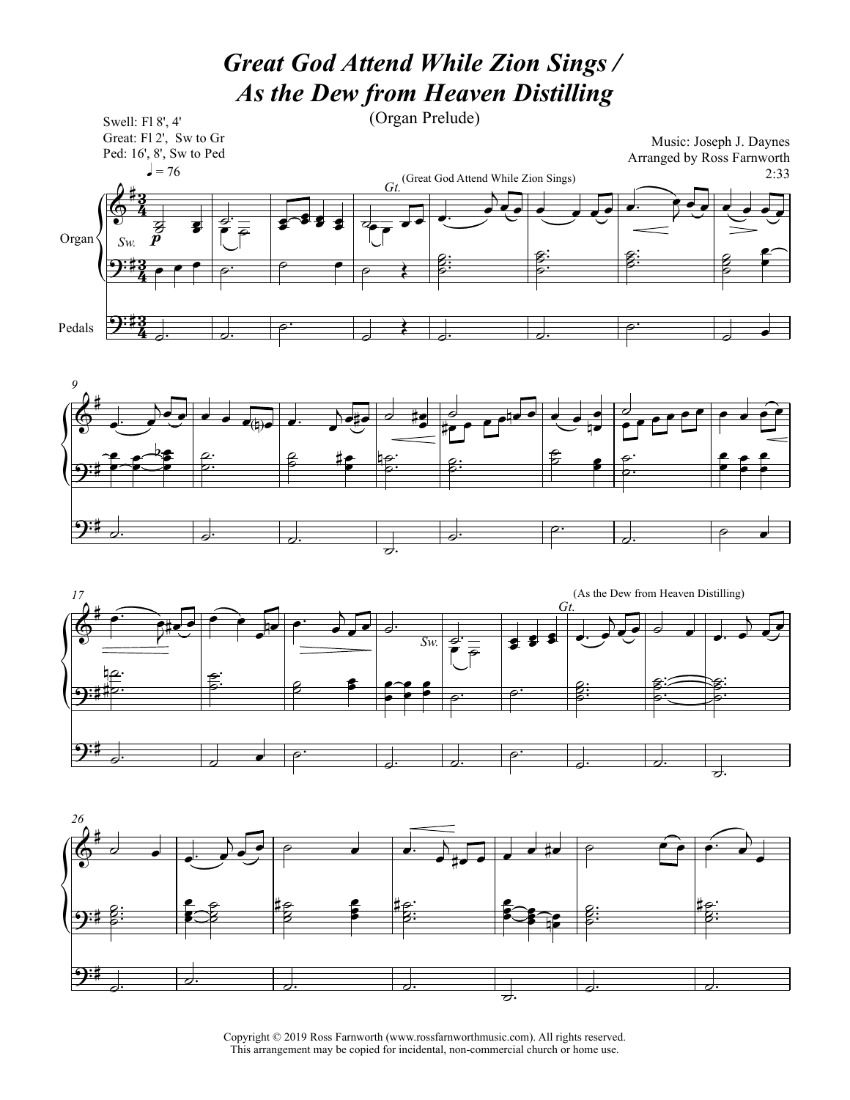## *Great God Attend While Zion Sings / As the Dew from Heaven Distilling*









Copyright © 2019 Ross Farnworth (www.rossfarnworthmusic.com). All rights reserved. This arrangement may be copied for incidental, non-commercial church or home use.